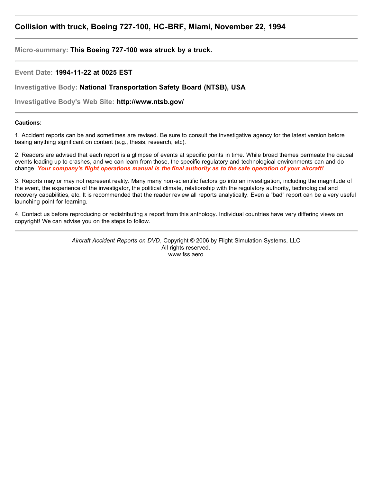## **Collision with truck, Boeing 727-100, HC-BRF, Miami, November 22, 1994**

**Micro-summary: This Boeing 727-100 was struck by a truck.**

**Event Date: 1994-11-22 at 0025 EST**

**Investigative Body: National Transportation Safety Board (NTSB), USA**

**Investigative Body's Web Site: http://www.ntsb.gov/**

## **Cautions:**

1. Accident reports can be and sometimes are revised. Be sure to consult the investigative agency for the latest version before basing anything significant on content (e.g., thesis, research, etc).

2. Readers are advised that each report is a glimpse of events at specific points in time. While broad themes permeate the causal events leading up to crashes, and we can learn from those, the specific regulatory and technological environments can and do change. *Your company's flight operations manual is the final authority as to the safe operation of your aircraft!*

3. Reports may or may not represent reality. Many many non-scientific factors go into an investigation, including the magnitude of the event, the experience of the investigator, the political climate, relationship with the regulatory authority, technological and recovery capabilities, etc. It is recommended that the reader review all reports analytically. Even a "bad" report can be a very useful launching point for learning.

4. Contact us before reproducing or redistributing a report from this anthology. Individual countries have very differing views on copyright! We can advise you on the steps to follow.

> *Aircraft Accident Reports on DVD*, Copyright © 2006 by Flight Simulation Systems, LLC All rights reserved. www.fss.aero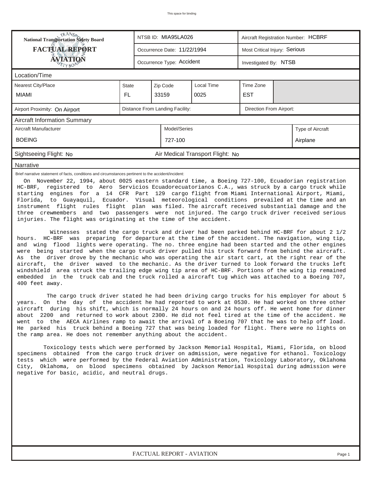| RANS <sub>P</sub> RANSP<br>National Transportation Safety Board                                                                                                                                                                                                                                                                                                                                                                                                                                                                                                                                                                                                                                                                                                                                                                                                                                                                                                                                                                                                                                                                                                                                                                                                                                                                                                                                                                                                                                                                        |       |              | NTSB ID: MIA95LA026         |                                  | Aircraft Registration Number: HCBRF |  |          |  |  |  |
|----------------------------------------------------------------------------------------------------------------------------------------------------------------------------------------------------------------------------------------------------------------------------------------------------------------------------------------------------------------------------------------------------------------------------------------------------------------------------------------------------------------------------------------------------------------------------------------------------------------------------------------------------------------------------------------------------------------------------------------------------------------------------------------------------------------------------------------------------------------------------------------------------------------------------------------------------------------------------------------------------------------------------------------------------------------------------------------------------------------------------------------------------------------------------------------------------------------------------------------------------------------------------------------------------------------------------------------------------------------------------------------------------------------------------------------------------------------------------------------------------------------------------------------|-------|--------------|-----------------------------|----------------------------------|-------------------------------------|--|----------|--|--|--|
| <b>FACTUAL REPORT</b>                                                                                                                                                                                                                                                                                                                                                                                                                                                                                                                                                                                                                                                                                                                                                                                                                                                                                                                                                                                                                                                                                                                                                                                                                                                                                                                                                                                                                                                                                                                  |       |              | Occurrence Date: 11/22/1994 |                                  | Most Critical Injury: Serious       |  |          |  |  |  |
| ÁVIATIQN<br>TYBOP                                                                                                                                                                                                                                                                                                                                                                                                                                                                                                                                                                                                                                                                                                                                                                                                                                                                                                                                                                                                                                                                                                                                                                                                                                                                                                                                                                                                                                                                                                                      |       |              | Occurrence Type: Accident   |                                  | Investigated By: NTSB               |  |          |  |  |  |
| Location/Time                                                                                                                                                                                                                                                                                                                                                                                                                                                                                                                                                                                                                                                                                                                                                                                                                                                                                                                                                                                                                                                                                                                                                                                                                                                                                                                                                                                                                                                                                                                          |       |              |                             |                                  |                                     |  |          |  |  |  |
| Nearest City/Place                                                                                                                                                                                                                                                                                                                                                                                                                                                                                                                                                                                                                                                                                                                                                                                                                                                                                                                                                                                                                                                                                                                                                                                                                                                                                                                                                                                                                                                                                                                     | State |              | Zip Code                    | Local Time                       | Time Zone                           |  |          |  |  |  |
| MIAMI                                                                                                                                                                                                                                                                                                                                                                                                                                                                                                                                                                                                                                                                                                                                                                                                                                                                                                                                                                                                                                                                                                                                                                                                                                                                                                                                                                                                                                                                                                                                  | FL.   |              | 33159                       | 0025                             | <b>EST</b>                          |  |          |  |  |  |
| Distance From Landing Facility:<br>Direction From Airport:<br>Airport Proximity: On Airport                                                                                                                                                                                                                                                                                                                                                                                                                                                                                                                                                                                                                                                                                                                                                                                                                                                                                                                                                                                                                                                                                                                                                                                                                                                                                                                                                                                                                                            |       |              |                             |                                  |                                     |  |          |  |  |  |
| <b>Aircraft Information Summary</b>                                                                                                                                                                                                                                                                                                                                                                                                                                                                                                                                                                                                                                                                                                                                                                                                                                                                                                                                                                                                                                                                                                                                                                                                                                                                                                                                                                                                                                                                                                    |       |              |                             |                                  |                                     |  |          |  |  |  |
| Aircraft Manufacturer                                                                                                                                                                                                                                                                                                                                                                                                                                                                                                                                                                                                                                                                                                                                                                                                                                                                                                                                                                                                                                                                                                                                                                                                                                                                                                                                                                                                                                                                                                                  |       | Model/Series |                             | Type of Aircraft                 |                                     |  |          |  |  |  |
| <b>BOEING</b>                                                                                                                                                                                                                                                                                                                                                                                                                                                                                                                                                                                                                                                                                                                                                                                                                                                                                                                                                                                                                                                                                                                                                                                                                                                                                                                                                                                                                                                                                                                          |       |              | 727-100                     |                                  |                                     |  | Airplane |  |  |  |
| Sightseeing Flight: No                                                                                                                                                                                                                                                                                                                                                                                                                                                                                                                                                                                                                                                                                                                                                                                                                                                                                                                                                                                                                                                                                                                                                                                                                                                                                                                                                                                                                                                                                                                 |       |              |                             | Air Medical Transport Flight: No |                                     |  |          |  |  |  |
| Narrative                                                                                                                                                                                                                                                                                                                                                                                                                                                                                                                                                                                                                                                                                                                                                                                                                                                                                                                                                                                                                                                                                                                                                                                                                                                                                                                                                                                                                                                                                                                              |       |              |                             |                                  |                                     |  |          |  |  |  |
| On November 22, 1994, about 0025 eastern standard time, a Boeing 727-100, Ecuadorian registration<br>HC-BRF, registered to Aero Servicios Ecuadorecuatorianos C.A., was struck by a cargo truck while<br>starting engines for a 14 CFR Part 129 cargo flight from Miami International Airport, Miami,<br>Florida, to Guayaquil, Ecuador. Visual meteorological conditions prevailed at the time and an<br>instrument flight rules flight plan was filed. The aircraft received substantial damage and the<br>three crewmembers and two passengers were not injured. The cargo truck driver received serious<br>injuries. The flight was originating at the time of the accident.<br>stated the cargo truck and driver had been parked behind HC-BRF for about 2 1/2<br>Witnesses<br>hours. HC-BRF was preparing for departure at the time of the accident. The navigation, wing tip,<br>and wing flood lights were operating. The no. three engine had been started and the other engines<br>were being started when the cargo truck driver pulled his truck forward from behind the aircraft.<br>As the driver drove by the mechanic who was operating the air start cart, at the right rear of the<br>aircraft, the driver waved to the mechanic. As the driver turned to look forward the trucks left<br>windshield area struck the trailing edge wing tip area of HC-BRF. Portions of the wing tip remained<br>embedded in the truck cab and the truck rolled a aircraft tug which was attached to a Boeing 707,<br>400 feet away. |       |              |                             |                                  |                                     |  |          |  |  |  |
| The cargo truck driver stated he had been driving cargo trucks for his employer for about 5<br>On the day of the accident he had reported to work at 0530. He had worked on three other<br>vears.<br>aircraft during his shift, which is normally 24 hours on and 24 hours off. He went home for dinner<br>about 2200 and returned to work about 2300. He did not feel tired at the time of the accident. He<br>went to the AECA Airlines ramp to await the arrival of a Boeing 707 that he was to help off load.<br>He parked his truck behind a Boeing 727 that was being loaded for flight. There were no lights on<br>the ramp area. He does not remember anything about the accident.<br>Toxicology tests which were performed by Jackson Memorial Hospital, Miami, Florida, on blood<br>specimens obtained from the cargo truck driver on admission, were negative for ethanol. Toxicology<br>tests which were performed by the Federal Aviation Administration, Toxicology Laboratory, Oklahoma<br>Oklahoma, on blood specimens obtained by Jackson Memorial Hospital during admission were<br>City,<br>negative for basic, acidic, and neutral drugs.                                                                                                                                                                                                                                                                                                                                                                          |       |              |                             |                                  |                                     |  |          |  |  |  |
|                                                                                                                                                                                                                                                                                                                                                                                                                                                                                                                                                                                                                                                                                                                                                                                                                                                                                                                                                                                                                                                                                                                                                                                                                                                                                                                                                                                                                                                                                                                                        |       |              |                             |                                  |                                     |  |          |  |  |  |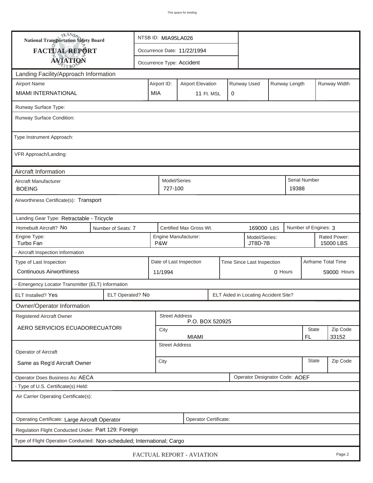| <b>National Transportation Safety Board</b>                             |                                                             | NTSB ID: MIA95LA026                                                     |                         |                             |                            |  |         |                           |                      |               |          |  |
|-------------------------------------------------------------------------|-------------------------------------------------------------|-------------------------------------------------------------------------|-------------------------|-----------------------------|----------------------------|--|---------|---------------------------|----------------------|---------------|----------|--|
| FACTUAL REPORT                                                          |                                                             |                                                                         |                         | Occurrence Date: 11/22/1994 |                            |  |         |                           |                      |               |          |  |
| <b>AVIATION</b>                                                         |                                                             |                                                                         |                         | Occurrence Type: Accident   |                            |  |         |                           |                      |               |          |  |
| Landing Facility/Approach Information                                   |                                                             |                                                                         |                         |                             |                            |  |         |                           |                      |               |          |  |
| <b>Airport Name</b>                                                     |                                                             | Runway Used<br>Runway Length<br>Airport ID:<br><b>Airport Elevation</b> |                         |                             |                            |  |         |                           |                      | Runway Width  |          |  |
| <b>MIAMI INTERNATIONAL</b>                                              | <b>MIA</b>                                                  | 0<br>11 Ft. MSL                                                         |                         |                             |                            |  |         |                           |                      |               |          |  |
| Runway Surface Type:                                                    |                                                             |                                                                         |                         |                             |                            |  |         |                           |                      |               |          |  |
| Runway Surface Condition:                                               |                                                             |                                                                         |                         |                             |                            |  |         |                           |                      |               |          |  |
| Type Instrument Approach:                                               |                                                             |                                                                         |                         |                             |                            |  |         |                           |                      |               |          |  |
| VFR Approach/Landing:                                                   |                                                             |                                                                         |                         |                             |                            |  |         |                           |                      |               |          |  |
| Aircraft Information                                                    |                                                             |                                                                         |                         |                             |                            |  |         |                           |                      |               |          |  |
| Aircraft Manufacturer<br><b>BOEING</b>                                  |                                                             |                                                                         | Model/Series<br>727-100 |                             |                            |  |         |                           | 19388                | Serial Number |          |  |
| Airworthiness Certificate(s): Transport                                 |                                                             |                                                                         |                         |                             |                            |  |         |                           |                      |               |          |  |
| Landing Gear Type: Retractable - Tricycle                               |                                                             |                                                                         |                         |                             |                            |  |         |                           |                      |               |          |  |
| Homebuilt Aircraft? No                                                  | Certified Max Gross Wt.<br>Number of Seats: 7<br>169000 LBS |                                                                         |                         |                             |                            |  |         |                           | Number of Engines: 3 |               |          |  |
| Engine Type:<br>Turbo Fan                                               |                                                             | Engine Manufacturer:<br>Model/Series:<br>P&W<br>JT8D-7B                 |                         |                             |                            |  |         | Rated Power:<br>15000 LBS |                      |               |          |  |
| - Aircraft Inspection Information                                       |                                                             |                                                                         |                         |                             |                            |  |         |                           |                      |               |          |  |
| Type of Last Inspection                                                 |                                                             |                                                                         | Date of Last Inspection |                             | Time Since Last Inspection |  |         |                           | Airframe Total Time  |               |          |  |
| <b>Continuous Airworthiness</b>                                         |                                                             | 11/1994                                                                 |                         |                             |                            |  | 0 Hours |                           |                      | 59000 Hours   |          |  |
| - Emergency Locator Transmitter (ELT) Information                       |                                                             |                                                                         |                         |                             |                            |  |         |                           |                      |               |          |  |
| ELT Installed? Yes                                                      | ELT Operated? No<br>ELT Aided in Locating Accident Site?    |                                                                         |                         |                             |                            |  |         |                           |                      |               |          |  |
| Owner/Operator Information                                              |                                                             |                                                                         |                         |                             |                            |  |         |                           |                      |               |          |  |
| <b>Registered Aircraft Owner</b>                                        |                                                             |                                                                         | <b>Street Address</b>   | P.O. BOX 520925             |                            |  |         |                           |                      |               |          |  |
| AERO SERVICIOS ECUADORECUATORI                                          |                                                             |                                                                         | City                    |                             |                            |  |         |                           |                      | State         | Zip Code |  |
|                                                                         |                                                             |                                                                         | <b>Street Address</b>   | <b>MIAMI</b>                |                            |  |         |                           |                      | FL            | 33152    |  |
| Operator of Aircraft                                                    |                                                             |                                                                         |                         |                             |                            |  |         |                           |                      |               |          |  |
| Same as Reg'd Aircraft Owner                                            | <b>State</b><br>City                                        |                                                                         |                         |                             |                            |  |         | Zip Code                  |                      |               |          |  |
| Operator Designator Code: AOEF<br>Operator Does Business As: AECA       |                                                             |                                                                         |                         |                             |                            |  |         |                           |                      |               |          |  |
| - Type of U.S. Certificate(s) Held:                                     |                                                             |                                                                         |                         |                             |                            |  |         |                           |                      |               |          |  |
| Air Carrier Operating Certificate(s):                                   |                                                             |                                                                         |                         |                             |                            |  |         |                           |                      |               |          |  |
| Operating Certificate: Large Aircraft Operator<br>Operator Certificate: |                                                             |                                                                         |                         |                             |                            |  |         |                           |                      |               |          |  |
| Regulation Flight Conducted Under: Part 129: Foreign                    |                                                             |                                                                         |                         |                             |                            |  |         |                           |                      |               |          |  |
| Type of Flight Operation Conducted: Non-scheduled; International; Cargo |                                                             |                                                                         |                         |                             |                            |  |         |                           |                      |               |          |  |
| FACTUAL REPORT - AVIATION<br>Page 2                                     |                                                             |                                                                         |                         |                             |                            |  |         |                           |                      |               |          |  |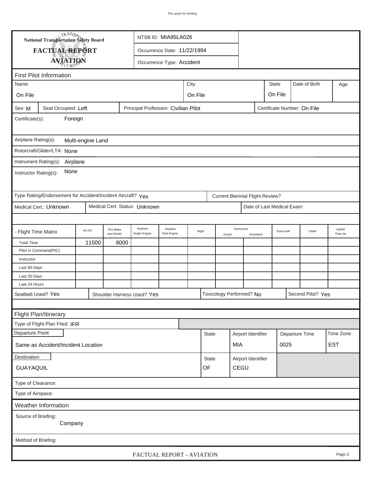|                                                                                                           | TRANSO.<br>National Transportation Safety Board             |                                                                                            |                        | NTSB ID: MIA95LA026           |                             |       |  |  |                                        |                            |  |            |                   |                     |  |
|-----------------------------------------------------------------------------------------------------------|-------------------------------------------------------------|--------------------------------------------------------------------------------------------|------------------------|-------------------------------|-----------------------------|-------|--|--|----------------------------------------|----------------------------|--|------------|-------------------|---------------------|--|
|                                                                                                           | FACTUAL REPORT                                              |                                                                                            |                        |                               | Occurrence Date: 11/22/1994 |       |  |  |                                        |                            |  |            |                   |                     |  |
|                                                                                                           | <b>AVIATION</b>                                             |                                                                                            |                        |                               | Occurrence Type: Accident   |       |  |  |                                        |                            |  |            |                   |                     |  |
|                                                                                                           | <b>First Pilot Information</b>                              |                                                                                            |                        |                               |                             |       |  |  |                                        |                            |  |            |                   |                     |  |
| City<br><b>State</b><br>Date of Birth<br>Name<br>Age                                                      |                                                             |                                                                                            |                        |                               |                             |       |  |  |                                        |                            |  |            |                   |                     |  |
|                                                                                                           |                                                             |                                                                                            |                        |                               |                             |       |  |  |                                        |                            |  |            |                   |                     |  |
| On File                                                                                                   |                                                             |                                                                                            |                        |                               | On File<br>On File          |       |  |  |                                        |                            |  |            |                   |                     |  |
| Sex: M                                                                                                    |                                                             | Seat Occupied: Left<br>Principal Profession: Civilian Pilot<br>Certificate Number: On File |                        |                               |                             |       |  |  |                                        |                            |  |            |                   |                     |  |
| Foreign<br>Certificate(s):                                                                                |                                                             |                                                                                            |                        |                               |                             |       |  |  |                                        |                            |  |            |                   |                     |  |
| Airplane Rating(s):<br>Multi-engine Land                                                                  |                                                             |                                                                                            |                        |                               |                             |       |  |  |                                        |                            |  |            |                   |                     |  |
|                                                                                                           | Rotorcraft/Glider/LTA: None                                 |                                                                                            |                        |                               |                             |       |  |  |                                        |                            |  |            |                   |                     |  |
|                                                                                                           |                                                             |                                                                                            |                        |                               |                             |       |  |  |                                        |                            |  |            |                   |                     |  |
| Instrument Rating(s):<br>Airplane<br>None<br>Instructor Rating(s):                                        |                                                             |                                                                                            |                        |                               |                             |       |  |  |                                        |                            |  |            |                   |                     |  |
|                                                                                                           | Type Rating/Endorsement for Accident/Incident Aircraft? Yes |                                                                                            |                        |                               |                             |       |  |  | <b>Current Biennial Flight Review?</b> |                            |  |            |                   |                     |  |
|                                                                                                           | Medical Cert.: Unknown                                      |                                                                                            |                        | Medical Cert. Status: Unknown |                             |       |  |  |                                        | Date of Last Medical Exam: |  |            |                   |                     |  |
|                                                                                                           |                                                             |                                                                                            |                        |                               |                             |       |  |  |                                        |                            |  |            |                   |                     |  |
| - Flight Time Matrix                                                                                      |                                                             | All A/C                                                                                    | This Make<br>and Model | Airplane<br>Single Engine     | Airplane<br>Mult-Engine     | Night |  |  | Instrument<br>Simulated<br>Actual      |                            |  | Rotorcraft | Glider            | Lighter<br>Than Air |  |
| <b>Total Time</b>                                                                                         |                                                             | 11500                                                                                      | 8000                   |                               |                             |       |  |  |                                        |                            |  |            |                   |                     |  |
|                                                                                                           | Pilot In Command(PIC)                                       |                                                                                            |                        |                               |                             |       |  |  |                                        |                            |  |            |                   |                     |  |
| Instructor                                                                                                |                                                             |                                                                                            |                        |                               |                             |       |  |  |                                        |                            |  |            |                   |                     |  |
| Last 90 Days<br>Last 30 Days                                                                              |                                                             |                                                                                            |                        |                               |                             |       |  |  |                                        |                            |  |            |                   |                     |  |
| Last 24 Hours                                                                                             |                                                             |                                                                                            |                        |                               |                             |       |  |  |                                        |                            |  |            |                   |                     |  |
| Seatbelt Used? Yes                                                                                        |                                                             |                                                                                            |                        | Shoulder Harness Used? Yes    |                             |       |  |  | Toxicology Performed? No               |                            |  |            | Second Pilot? Yes |                     |  |
|                                                                                                           |                                                             |                                                                                            |                        |                               |                             |       |  |  |                                        |                            |  |            |                   |                     |  |
| Flight Plan/Itinerary                                                                                     |                                                             |                                                                                            |                        |                               |                             |       |  |  |                                        |                            |  |            |                   |                     |  |
|                                                                                                           | Type of Flight Plan Filed: IFR                              |                                                                                            |                        |                               |                             |       |  |  |                                        |                            |  |            |                   |                     |  |
| Departure Point                                                                                           |                                                             |                                                                                            |                        |                               |                             |       |  |  |                                        |                            |  |            |                   | Time Zone           |  |
| Airport Identifier<br><b>State</b><br>Departure Time<br>MIA<br>0025<br>Same as Accident/Incident Location |                                                             |                                                                                            |                        |                               |                             |       |  |  | <b>EST</b>                             |                            |  |            |                   |                     |  |
|                                                                                                           | Destination<br>Airport Identifier<br><b>State</b>           |                                                                                            |                        |                               |                             |       |  |  |                                        |                            |  |            |                   |                     |  |
| CEGU<br>OF<br>GUAYAQUIL                                                                                   |                                                             |                                                                                            |                        |                               |                             |       |  |  |                                        |                            |  |            |                   |                     |  |
| Type of Clearance:                                                                                        |                                                             |                                                                                            |                        |                               |                             |       |  |  |                                        |                            |  |            |                   |                     |  |
| Type of Airspace:                                                                                         |                                                             |                                                                                            |                        |                               |                             |       |  |  |                                        |                            |  |            |                   |                     |  |
| Weather Information                                                                                       |                                                             |                                                                                            |                        |                               |                             |       |  |  |                                        |                            |  |            |                   |                     |  |
| Source of Briefing:<br>Company                                                                            |                                                             |                                                                                            |                        |                               |                             |       |  |  |                                        |                            |  |            |                   |                     |  |
| Method of Briefing:                                                                                       |                                                             |                                                                                            |                        |                               |                             |       |  |  |                                        |                            |  |            |                   |                     |  |
| FACTUAL REPORT - AVIATION<br>Page 3                                                                       |                                                             |                                                                                            |                        |                               |                             |       |  |  |                                        |                            |  |            |                   |                     |  |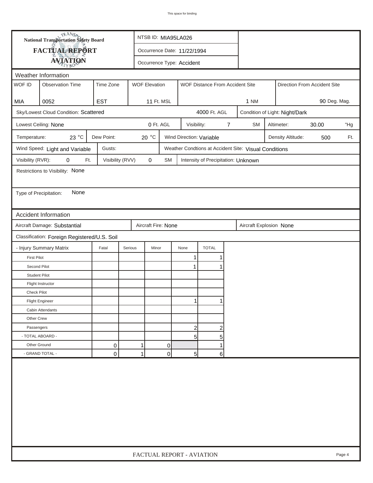|                                                        | <b>National Transportation Safety Board</b>                                    | NTSB ID: MIA95LA026 |                  |                                                         |              |                                     |                |                                                       |                                |                   |                              |     |  |
|--------------------------------------------------------|--------------------------------------------------------------------------------|---------------------|------------------|---------------------------------------------------------|--------------|-------------------------------------|----------------|-------------------------------------------------------|--------------------------------|-------------------|------------------------------|-----|--|
|                                                        | <b>FACTUAL REPORT</b>                                                          |                     |                  | Occurrence Date: 11/22/1994                             |              |                                     |                |                                                       |                                |                   |                              |     |  |
|                                                        | <b>AVIATION</b>                                                                |                     |                  | Occurrence Type: Accident                               |              |                                     |                |                                                       |                                |                   |                              |     |  |
|                                                        | Weather Information                                                            |                     |                  |                                                         |              |                                     |                |                                                       |                                |                   |                              |     |  |
| WOF ID                                                 | <b>Observation Time</b>                                                        | Time Zone           |                  | <b>WOF Elevation</b><br>WOF Distance From Accident Site |              |                                     |                |                                                       |                                |                   | Direction From Accident Site |     |  |
|                                                        |                                                                                |                     |                  |                                                         |              |                                     |                |                                                       |                                |                   |                              |     |  |
| 0052<br><b>EST</b><br>11 Ft. MSL<br>MIA<br><b>1 NM</b> |                                                                                |                     |                  |                                                         |              |                                     |                |                                                       |                                | 90 Deg. Mag.      |                              |     |  |
|                                                        | Sky/Lowest Cloud Condition: Scattered                                          |                     |                  |                                                         |              | 4000 Ft. AGL                        |                |                                                       | Condition of Light: Night/Dark |                   |                              |     |  |
|                                                        | Lowest Ceiling: None                                                           |                     |                  | 0 Ft. AGL                                               | Visibility:  |                                     | $\overline{7}$ | <b>SM</b>                                             |                                | Altimeter:        | 30.00                        | "Hg |  |
| Temperature:                                           | 23 $^{\circ}$ C                                                                | Dew Point:          | $20^{\circ}$ C   |                                                         |              | Wind Direction: Variable            |                |                                                       |                                | Density Altitude: | 500                          | Ft. |  |
|                                                        | Wind Speed: Light and Variable                                                 | Gusts:              |                  |                                                         |              |                                     |                | Weather Condtions at Accident Site: Visual Conditions |                                |                   |                              |     |  |
| Visibility (RVR):                                      | 0<br>Ft.                                                                       | Visibility (RVV)    | $\mathbf 0$      | <b>SM</b>                                               |              | Intensity of Precipitation: Unknown |                |                                                       |                                |                   |                              |     |  |
|                                                        | Restrictions to Visibility: None                                               |                     |                  |                                                         |              |                                     |                |                                                       |                                |                   |                              |     |  |
|                                                        |                                                                                |                     |                  |                                                         |              |                                     |                |                                                       |                                |                   |                              |     |  |
| Type of Precipitation:                                 | None                                                                           |                     |                  |                                                         |              |                                     |                |                                                       |                                |                   |                              |     |  |
|                                                        |                                                                                |                     |                  |                                                         |              |                                     |                |                                                       |                                |                   |                              |     |  |
|                                                        | <b>Accident Information</b>                                                    |                     |                  |                                                         |              |                                     |                |                                                       |                                |                   |                              |     |  |
|                                                        | Aircraft Damage: Substantial<br>Aircraft Fire: None<br>Aircraft Explosion None |                     |                  |                                                         |              |                                     |                |                                                       |                                |                   |                              |     |  |
|                                                        | Classification: Foreign Registered/U.S. Soil                                   |                     |                  |                                                         |              |                                     |                |                                                       |                                |                   |                              |     |  |
|                                                        | - Injury Summary Matrix                                                        | Fatal               | Serious<br>Minor |                                                         | None         | <b>TOTAL</b>                        |                |                                                       |                                |                   |                              |     |  |
| <b>First Pilot</b>                                     |                                                                                |                     |                  |                                                         | 1            |                                     |                |                                                       |                                |                   |                              |     |  |
| Second Pilot                                           |                                                                                |                     |                  |                                                         | $\mathbf{1}$ |                                     |                |                                                       |                                |                   |                              |     |  |
| <b>Student Pilot</b>                                   |                                                                                |                     |                  |                                                         |              |                                     |                |                                                       |                                |                   |                              |     |  |
|                                                        | Flight Instructor                                                              |                     |                  |                                                         |              |                                     |                |                                                       |                                |                   |                              |     |  |
| <b>Check Pilot</b>                                     |                                                                                |                     |                  |                                                         |              |                                     |                |                                                       |                                |                   |                              |     |  |
|                                                        | <b>Flight Engineer</b>                                                         |                     |                  |                                                         | 1            |                                     |                |                                                       |                                |                   |                              |     |  |
|                                                        | Cabin Attendants                                                               |                     |                  |                                                         |              |                                     |                |                                                       |                                |                   |                              |     |  |
| Other Crew                                             |                                                                                |                     |                  |                                                         |              |                                     |                |                                                       |                                |                   |                              |     |  |
| Passengers                                             |                                                                                |                     |                  |                                                         | 2            | $\overline{c}$                      |                |                                                       |                                |                   |                              |     |  |
| - TOTAL ABOARD -                                       |                                                                                |                     |                  |                                                         | $5\vert$     | 5                                   |                |                                                       |                                |                   |                              |     |  |
| Other Ground                                           |                                                                                | 0                   | 1                | 0                                                       |              | 1                                   |                |                                                       |                                |                   |                              |     |  |
|                                                        | - GRAND TOTAL -                                                                | 0                   | 1                | 0                                                       | 5            | 6                                   |                |                                                       |                                |                   |                              |     |  |
|                                                        |                                                                                |                     |                  |                                                         |              |                                     |                |                                                       |                                |                   |                              |     |  |
|                                                        | FACTUAL REPORT - AVIATION<br>Page 4                                            |                     |                  |                                                         |              |                                     |                |                                                       |                                |                   |                              |     |  |